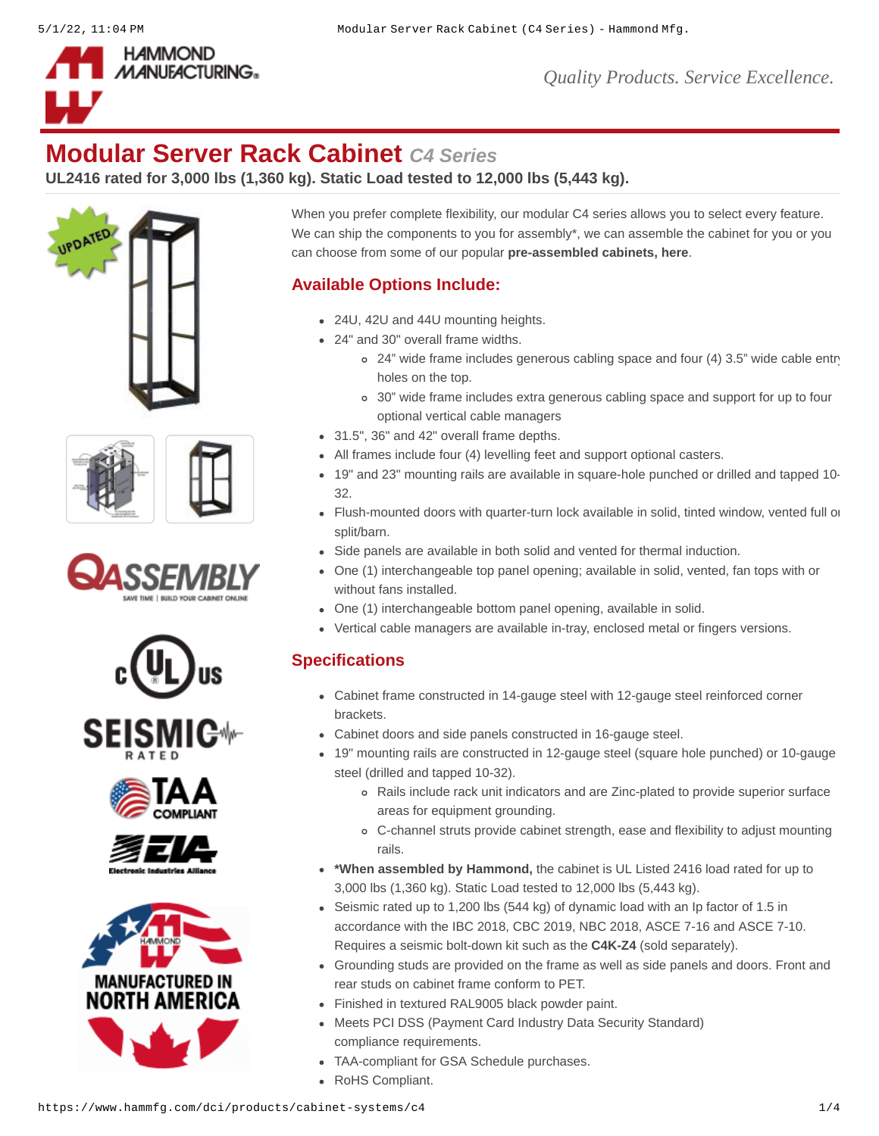

# **Modular Server Rack Cabinet** *C4 Series*

**UL2416 rated for 3,000 lbs (1,360 kg). Static Load tested to 12,000 lbs (5,443 kg).**















When you prefer complete flexibility, our modular C4 series allows you to select every feature. We can ship the components to you for assembly\*, we can assemble the cabinet for you or you can choose from some of our popular **[pre-assembled cabinets, here](https://www.hammfg.com/product/c4rr)**.

# **Available Options Include:**

- 24U, 42U and 44U mounting heights.
- 24" and 30" overall frame widths.
	- 24" wide frame includes generous cabling space and four (4) 3.5" wide cable entry holes on the top.
	- 30" wide frame includes extra generous cabling space and support for up to four optional vertical cable managers
- 31.5", 36" and 42" overall frame depths.
- All frames include four (4) levelling feet and support optional casters.
- 19" and 23" mounting rails are available in square-hole punched or drilled and tapped 10- 32.
- Flush-mounted doors with quarter-turn lock available in solid, tinted window, vented full or split/barn.
- Side panels are available in both solid and vented for thermal induction.
- One (1) interchangeable top panel opening; available in solid, vented, fan tops with or without fans installed.
- One (1) interchangeable bottom panel opening, available in solid.
- Vertical cable managers are available in-tray, enclosed metal or fingers versions.

# **Specifications**

- Cabinet frame constructed in 14-gauge steel with 12-gauge steel reinforced corner brackets.
- Cabinet doors and side panels constructed in 16-gauge steel.
- 19" mounting rails are constructed in 12-gauge steel (square hole punched) or 10-gauge steel (drilled and tapped 10-32).
	- Rails include rack unit indicators and are Zinc-plated to provide superior surface areas for equipment grounding.
	- C-channel struts provide cabinet strength, ease and flexibility to adjust mounting rails.
- **\*When assembled by Hammond,** the cabinet is UL Listed 2416 load rated for up to 3,000 lbs (1,360 kg). Static Load tested to 12,000 lbs (5,443 kg).
- Seismic rated up to 1,200 lbs (544 kg) of dynamic load with an Ip factor of 1.5 in accordance with the IBC 2018, CBC 2019, NBC 2018, ASCE 7-16 and ASCE 7-10. Requires a seismic bolt-down kit such as the **[C4K-Z4](https://www.hammfg.com/part/C4K-Z4)** (sold separately).
- Grounding studs are provided on the frame as well as side panels and doors. Front and rear studs on cabinet frame conform to PET.
- Finished in textured RAL9005 black powder paint.
- Meets PCI DSS (Payment Card Industry Data Security Standard) compliance requirements.
- TAA-compliant for GSA Schedule purchases.
- RoHS Compliant.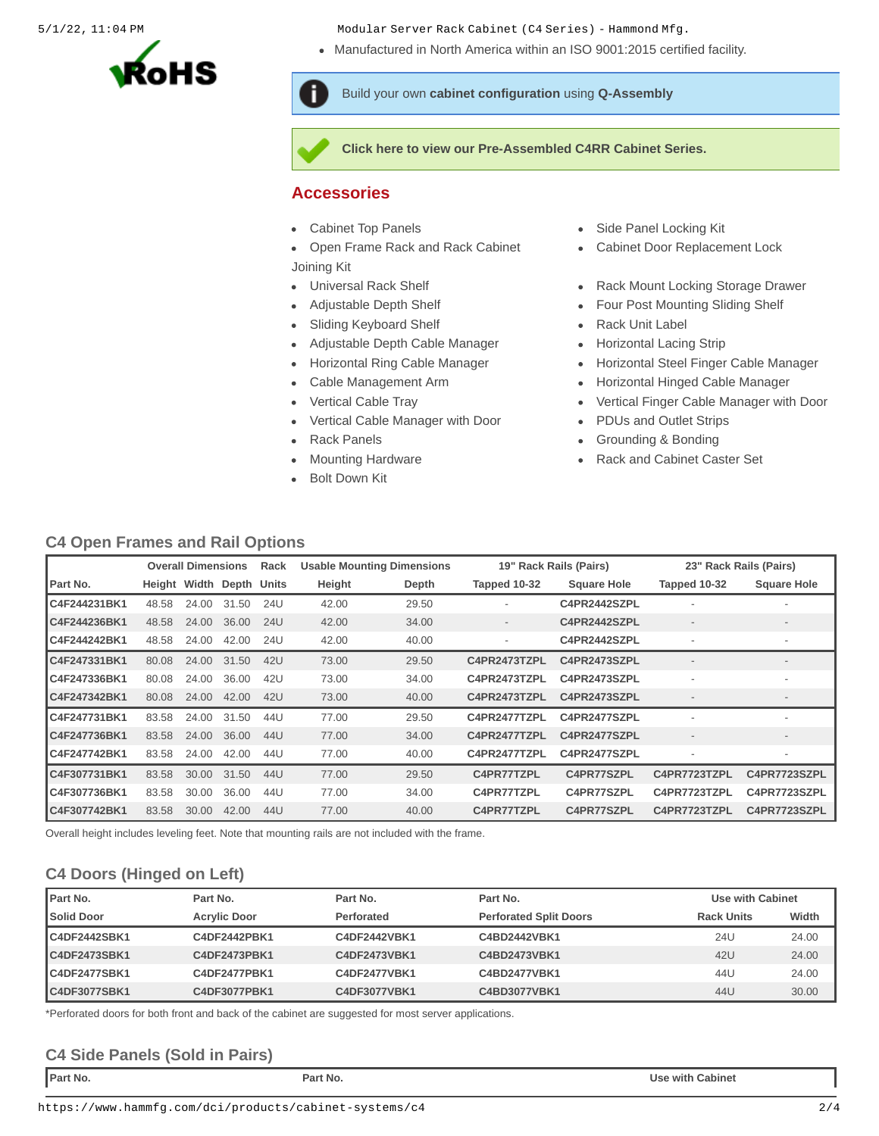

5/1/22, 11:04 PM Modular Server Rack Cabinet (C4 Series) - Hammond Mfg.

Manufactured in North America within an ISO 9001:2015 certified facility.



**[Click here to view our Pre-Assembled](https://www.hammfg.com/product/c4rr) C4RR Cabinet Series.**

### **Accessories**

- $\sim$
- [Open Frame Rack and Rack Cabinet](https://www.hammfg.com/dci/products/accessories/gkit?referer=195&itm_type=accessory)  $\bullet$ Joining Kit
- 
- 
- [Sliding Keyboard Shelf](https://www.hammfg.com/dci/products/accessories/raks?referer=195&itm_type=accessory) **[Rack Unit Label](https://www.hammfg.com/dci/products/accessories/rulbk?referer=195&itm_type=accessory) Rack Unit Label**
- [Adjustable Depth Cable Manager](https://www.hammfg.com/dci/products/accessories/rdcm?referer=195&itm_type=accessory) **Cable Strip Strip 6 and Adduct Accing Strip** 6 and [Horizontal Lacing Strip](https://www.hammfg.com/dci/products/accessories/hcm?referer=195&itm_type=accessory)
- 
- 
- 
- [Vertical Cable Manager with Door](https://www.hammfg.com/dci/products/accessories/c4vcm?referer=195&itm_type=accessory) [PDUs and Outlet Strips](https://www.hammfg.com/electronics/outlet-strips?referer=195&itm_type=accessory)
- 
- 
- [Bolt Down Kit](https://www.hammfg.com/dci/products/accessories/boltdown?referer=195&itm_type=accessory)
- [Cabinet Top Panels](https://www.hammfg.com/dci/products/accessories/top-panels?referer=195&itm_type=accessory) **[Side Panel Locking Kit](https://www.hammfg.com/dci/products/accessories/cspqtrl?referer=195&itm_type=accessory)** 
	- [Cabinet Door Replacement Lock](https://www.hammfg.com/dci/products/accessories/cdqtrl?referer=195&itm_type=accessory)  $\bullet$
- [Universal Rack Shelf](https://www.hammfg.com/dci/products/accessories/ras?referer=195&itm_type=accessory) **Rack Americ Access 1998** [Rack Mount Locking Storage Drawer](https://www.hammfg.com/dci/products/accessories/rdrw?referer=195&itm_type=accessory)
	- [Adjustable Depth Shelf](https://www.hammfg.com/dci/products/accessories/ads?referer=195&itm_type=accessory) **[Four Post Mounting Sliding Shelf](https://www.hammfg.com/dci/products/accessories/rsus?referer=195&itm_type=accessory)** 
		-
		-
	- [Horizontal Ring Cable Manager](https://www.hammfg.com/dci/products/accessories/pcmbs?referer=195&itm_type=accessory) **Cable [Horizontal Steel Finger Cable Manager](https://www.hammfg.com/dci/products/accessories/pcmds?referer=195&itm_type=accessory)**
	- [Cable Management Arm](https://www.hammfg.com/dci/products/accessories/cguide?referer=195&itm_type=accessory) **[Horizontal Hinged Cable Manager](https://www.hammfg.com/dci/products/accessories/pcmdd?referer=195&itm_type=accessory)**
	- [Vertical Cable Tray](https://www.hammfg.com/dci/products/accessories/vct?referer=195&itm_type=accessory) [Vertical Finger Cable Manager with Door](https://www.hammfg.com/dci/products/accessories/c4vfm?referer=195&itm_type=accessory)
		-
	- [Rack Panels](https://www.hammfg.com/dci/products/accessories/panels?referer=195&itm_type=accessory) **[Grounding & Bonding](https://www.hammfg.com/dci/products/accessories/grounding?referer=195&itm_type=accessory)**
	- [Mounting Hardware](https://www.hammfg.com/dci/products/accessories/mounting-hardware?referer=195&itm_type=accessory) **[Rack and Cabinet Caster Set](https://www.hammfg.com/dci/products/accessories/1425b?referer=195&itm_type=accessory)**

### **C4 Open Frames and Rail Options**

|                   | <b>Overall Dimensions</b> |       | Rack        | <b>Usable Mounting Dimensions</b> |        | 19" Rack Rails (Pairs) |                          | 23" Rack Rails (Pairs) |                          |                    |
|-------------------|---------------------------|-------|-------------|-----------------------------------|--------|------------------------|--------------------------|------------------------|--------------------------|--------------------|
| <b>I</b> Part No. | Height Width              |       | Depth Units |                                   | Height | Depth                  | Tapped 10-32             | <b>Square Hole</b>     | Tapped 10-32             | <b>Square Hole</b> |
| C4F244231BK1      | 48.58                     | 24.00 | 31.50       | 24U                               | 42.00  | 29.50                  |                          | C4PR2442SZPL           |                          |                    |
| C4F244236BK1      | 48.58                     | 24.00 | 36.00       | 24U                               | 42.00  | 34.00                  | $\overline{\phantom{a}}$ | C4PR2442SZPL           | $\overline{\phantom{a}}$ |                    |
| C4F244242BK1      | 48.58                     | 24.00 | 42.00       | 24U                               | 42.00  | 40.00                  |                          | C4PR2442SZPL           |                          |                    |
| C4F247331BK1      | 80.08                     | 24.00 | 31.50       | 42U                               | 73.00  | 29.50                  | C4PR2473TZPL             | C4PR2473SZPL           |                          |                    |
| C4F247336BK1      | 80.08                     | 24.00 | 36.00       | 42U                               | 73.00  | 34.00                  | C4PR2473TZPL             | C4PR2473SZPL           | $\overline{\phantom{0}}$ |                    |
| C4F247342BK1      | 80.08                     | 24.00 | 42.00       | 42U                               | 73.00  | 40.00                  | C4PR2473TZPL             | C4PR2473SZPL           | $\overline{\phantom{a}}$ |                    |
| C4F247731BK1      | 83.58                     | 24.00 | 31.50       | 44U                               | 77.00  | 29.50                  | C4PR2477TZPL             | C4PR2477SZPL           |                          |                    |
| C4F247736BK1      | 83.58                     | 24.00 | 36.00       | 44U                               | 77.00  | 34.00                  | C4PR2477TZPL             | C4PR2477SZPL           | $\overline{\phantom{a}}$ |                    |
| C4F247742BK1      | 83.58                     | 24.00 | 42.00       | 44U                               | 77.00  | 40.00                  | C4PR2477TZPL             | C4PR2477SZPL           | $\overline{\phantom{a}}$ |                    |
| C4F307731BK1      | 83.58                     | 30.00 | 31.50       | 44U                               | 77.00  | 29.50                  | C4PR77TZPL               | C4PR77SZPL             | C4PR7723TZPL             | C4PR7723SZPL       |
| C4F307736BK1      | 83.58                     | 30.00 | 36.00       | 44U                               | 77.00  | 34.00                  | C4PR77TZPL               | C4PR77SZPL             | C4PR7723TZPL             | C4PR7723SZPL       |
| C4F307742BK1      | 83.58                     | 30.00 | 42.00       | 44U                               | 77.00  | 40.00                  | C4PR77TZPL               | C4PR77SZPL             | C4PR7723TZPL             | C4PR7723SZPL       |

Overall height includes leveling feet. Note that mounting rails are not included with the frame.

### **C4 Doors (Hinged on Left)**

| <b>IPart No.</b>  | Part No.            | Part No.     | Part No.                      | Use with Cabinet  |       |
|-------------------|---------------------|--------------|-------------------------------|-------------------|-------|
| <b>Solid Door</b> | <b>Acrylic Door</b> | Perforated   | <b>Perforated Split Doors</b> | <b>Rack Units</b> | Width |
| C4DF2442SBK1      | C4DF2442PBK1        | C4DF2442VBK1 | C4BD2442VBK1                  | 24U               | 24.00 |
| C4DF2473SBK1      | C4DF2473PBK1        | C4DF2473VBK1 | C4BD2473VBK1                  | 42U               | 24.00 |
| IC4DF2477SBK1     | C4DF2477PBK1        | C4DF2477VBK1 | C4BD2477VBK1                  | 44U               | 24.00 |
| C4DF3077SBK1      | C4DF3077PBK1        | C4DF3077VBK1 | C4BD3077VBK1                  | 44U               | 30.00 |

\*Perforated doors for both front and back of the cabinet are suggested for most server applications.

### **C4 Side Panels (Sold in Pairs)**

| Part No. | Part No. | <b>Use with Cabinet</b><br>. |
|----------|----------|------------------------------|
|----------|----------|------------------------------|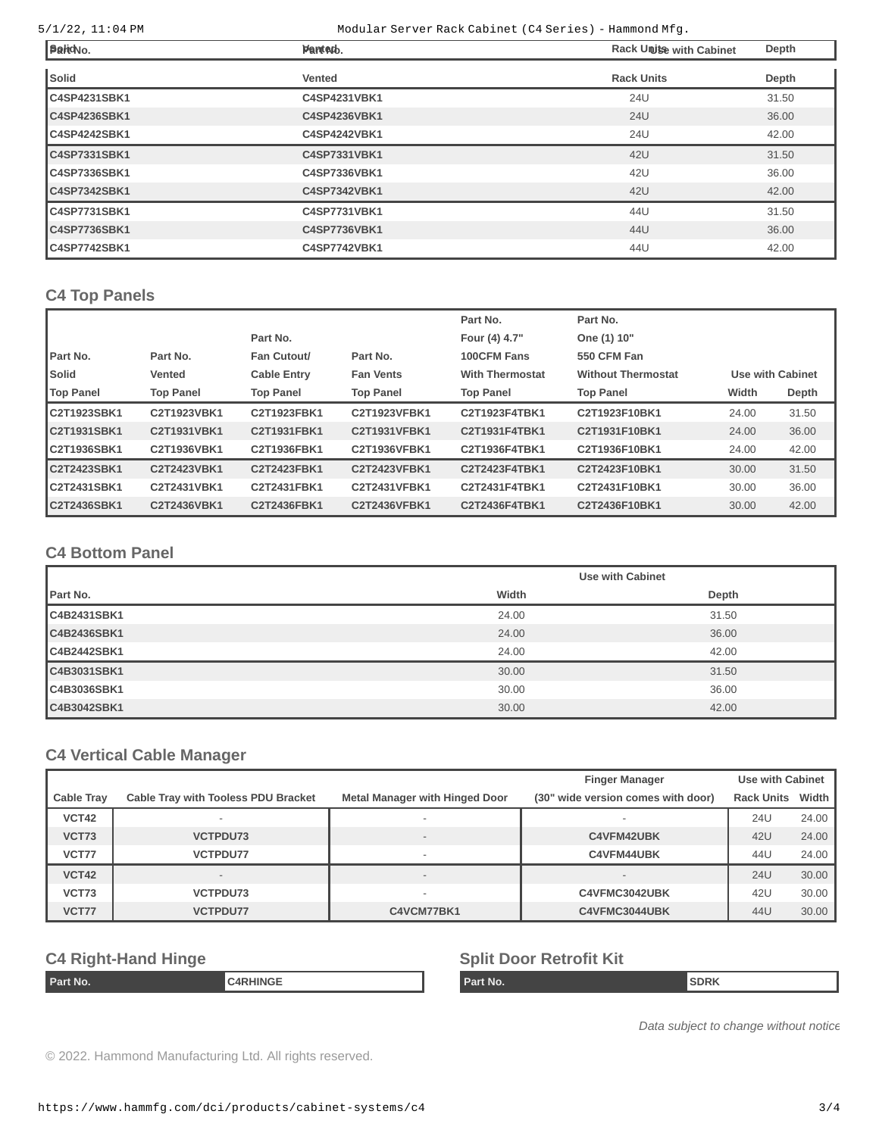5/1/22, 11:04 PM Modular Server Rack Cabinet (C4 Series) - Hammond Mfg.

| <b>ParidNo.</b> | Panterb.     | Rack Unitse with Cabinet | Depth |
|-----------------|--------------|--------------------------|-------|
| Solid           | Vented       | <b>Rack Units</b>        | Depth |
| C4SP4231SBK1    | C4SP4231VBK1 | 24U                      | 31.50 |
| C4SP4236SBK1    | C4SP4236VBK1 | 24U                      | 36.00 |
| IC4SP4242SBK1   | C4SP4242VBK1 | 24U                      | 42.00 |
| C4SP7331SBK1    | C4SP7331VBK1 | 42U                      | 31.50 |
| C4SP7336SBK1    | C4SP7336VBK1 | 42U                      | 36.00 |
| C4SP7342SBK1    | C4SP7342VBK1 | 42U                      | 42.00 |
| C4SP7731SBK1    | C4SP7731VBK1 | 44U                      | 31.50 |
| C4SP7736SBK1    | C4SP7736VBK1 | 44U                      | 36.00 |
| IC4SP7742SBK1   | C4SP7742VBK1 | 44U                      | 42.00 |

## **C4 Top Panels**

|                    |                  |                    |                     | Part No.               | Part No.                  |       |                  |
|--------------------|------------------|--------------------|---------------------|------------------------|---------------------------|-------|------------------|
|                    |                  | Part No.           |                     | Four (4) 4.7"          | One (1) 10"               |       |                  |
| Part No.           | Part No.         | Fan Cutout/        | Part No.            | 100CFM Fans            | 550 CFM Fan               |       |                  |
| <b>Solid</b>       | Vented           | <b>Cable Entry</b> | <b>Fan Vents</b>    | <b>With Thermostat</b> | <b>Without Thermostat</b> |       | Use with Cabinet |
| Top Panel          | <b>Top Panel</b> | <b>Top Panel</b>   | <b>Top Panel</b>    | <b>Top Panel</b>       | <b>Top Panel</b>          | Width | Depth            |
| <b>C2T1923SBK1</b> | C2T1923VBK1      | C2T1923FBK1        | C2T1923VFBK1        | C2T1923F4TBK1          | C2T1923F10BK1             | 24.00 | 31.50            |
| C2T1931SBK1        | C2T1931VBK1      | C2T1931FBK1        | C2T1931VFBK1        | C2T1931F4TBK1          | C2T1931F10BK1             | 24.00 | 36.00            |
| C2T1936SBK1        | C2T1936VBK1      | C2T1936FBK1        | C2T1936VFBK1        | C2T1936F4TBK1          | C2T1936F10BK1             | 24.00 | 42.00            |
| C2T2423SBK1        | C2T2423VBK1      | C2T2423FBK1        | <b>C2T2423VFBK1</b> | C2T2423F4TBK1          | C2T2423F10BK1             | 30.00 | 31.50            |
| C2T2431SBK1        | C2T2431VBK1      | C2T2431FBK1        | C2T2431VFBK1        | C2T2431F4TBK1          | C2T2431F10BK1             | 30.00 | 36.00            |
| C2T2436SBK1        | C2T2436VBK1      | C2T2436FBK1        | C2T2436VFBK1        | C2T2436F4TBK1          | C2T2436F10BK1             | 30.00 | 42.00            |

## **C4 Bottom Panel**

|             |       | Use with Cabinet |
|-------------|-------|------------------|
| Part No.    | Width | Depth            |
| C4B2431SBK1 | 24.00 | 31.50            |
| C4B2436SBK1 | 24.00 | 36.00            |
| C4B2442SBK1 | 24.00 | 42.00            |
| C4B3031SBK1 | 30.00 | 31.50            |
| C4B3036SBK1 | 30.00 | 36.00            |
| C4B3042SBK1 | 30.00 | 42.00            |

## **C4 Vertical Cable Manager**

|                   |                                     |                                       | <b>Finger Manager</b>              | Use with Cabinet  |       |
|-------------------|-------------------------------------|---------------------------------------|------------------------------------|-------------------|-------|
| <b>Cable Trav</b> | Cable Tray with Tooless PDU Bracket | <b>Metal Manager with Hinged Door</b> | (30" wide version comes with door) | <b>Rack Units</b> | Width |
| <b>VCT42</b>      | -                                   |                                       |                                    | 24U               | 24.00 |
| <b>VCT73</b>      | VCTPDU73                            |                                       | C4VFM42UBK                         | 42U               | 24.00 |
| <b>VCT77</b>      | VCTPDU77                            | $\overline{\phantom{a}}$              | C4VFM44UBK                         | 44U               | 24.00 |
| <b>VCT42</b>      | $\overline{\phantom{a}}$            |                                       |                                    | 24U               | 30.00 |
| VCT73             | VCTPDU73                            |                                       | C4VFMC3042UBK                      | 42U               | 30.00 |
| <b>VCT77</b>      | VCTPDU77                            | C4VCM77BK1                            | C4VFMC3044UBK                      | 44U               | 30.00 |

# **C4 Right-Hand Hinge**

| Part No. | <b>HINGE</b><br>CAR |
|----------|---------------------|
|          |                     |

# **Split Door Retrofit Kit**

**Part No. [SDRK](https://www.hammfg.com/part/SDRK?referer=195)** 

*Data subject to change without notice*

© 2022. Hammond Manufacturing Ltd. All rights reserved.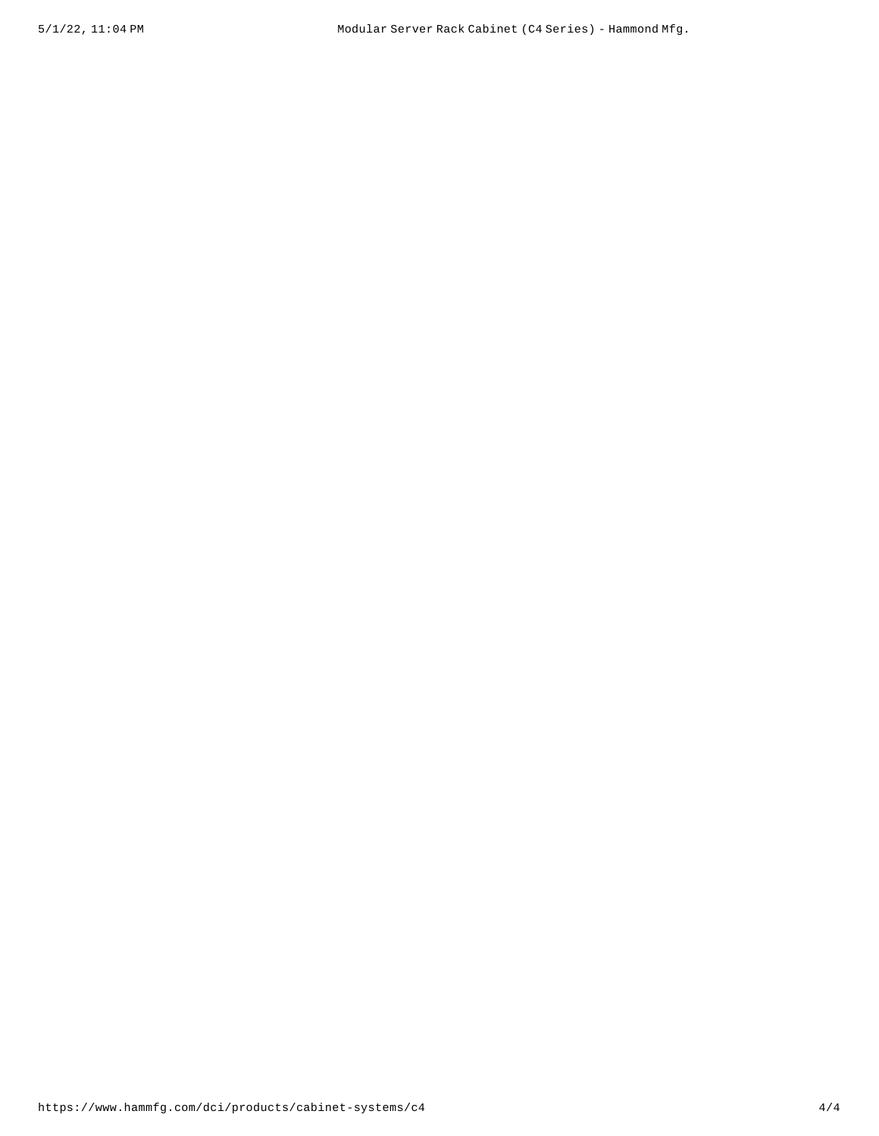5/1/22, 11:04 PM Modular Server Rack Cabinet (C4 Series) - Hammond Mfg.